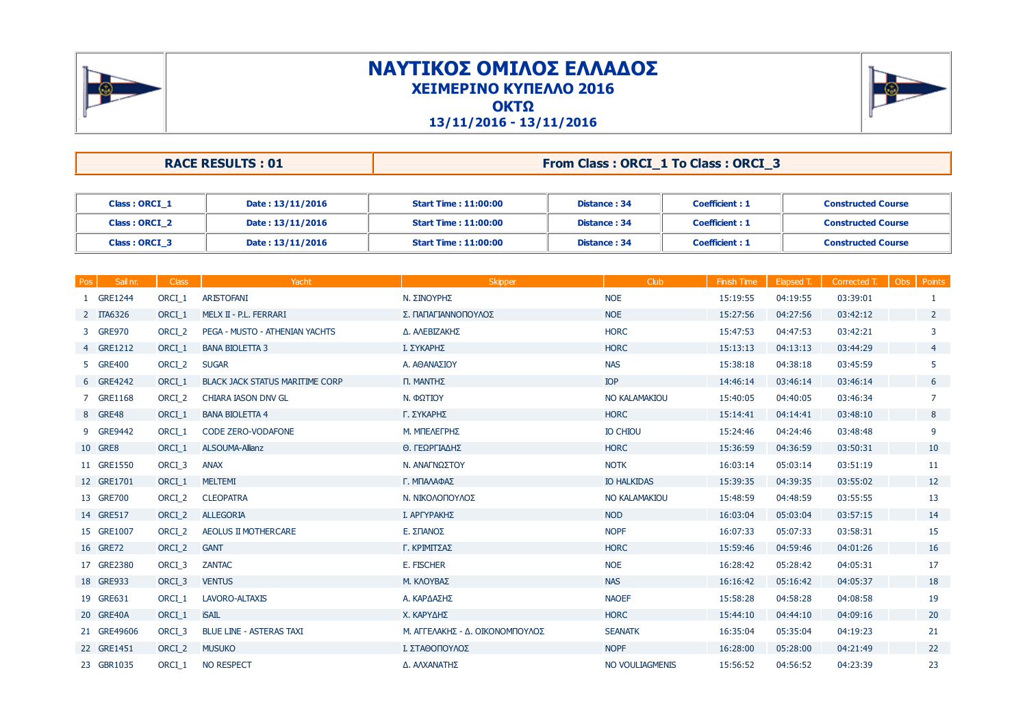

## **ΝΑΥΤΙΚΟΣ ΟΜΙΛΟΣ ΕΛΛΑ∆ΟΣΧΕΙΜΕΡΙΝΟ ΚΥΠΕΛΛΟ 2016ΟΚΤΩ**



**13/11/2016 - 13/11/2016**

| <b>RACE RESULTS: 01</b> | From Class: ORCI_1 To Class: ORCI_ |
|-------------------------|------------------------------------|
|-------------------------|------------------------------------|

| Class: ORCI 1 | Date: 13/11/2016 | <b>Start Time : 11:00:00</b> | Distance: 34 | Coefficient: 1 | <b>Constructed Course</b> |
|---------------|------------------|------------------------------|--------------|----------------|---------------------------|
| Class: ORCI 2 | Date: 13/11/2016 | <b>Start Time: 11:00:00</b>  | Distance: 34 | Coefficient: 1 | <b>Constructed Course</b> |
| Class: ORCI 3 | Date: 13/11/2016 | <b>Start Time: 11:00:00</b>  | Distance: 34 | Coefficient: 1 | <b>Constructed Course</b> |

| <b>Pos</b> | Sail nr.    | <b>Class</b>      | Yacht                                  | <b>Skipper</b>                  | Club                 | <b>Finish Time</b> | Elapsed T. | Corrected T. | Obs<br>Points  |
|------------|-------------|-------------------|----------------------------------------|---------------------------------|----------------------|--------------------|------------|--------------|----------------|
|            | 1 GRE1244   | ORCI 1            | <b>ARISTOFANI</b>                      | Ν. ΣΙΝΟΥΡΗΣ                     | <b>NOE</b>           | 15:19:55           | 04:19:55   | 03:39:01     | 1              |
|            | 2 ITA6326   | ORCI <sub>1</sub> | MELX II - P.L. FERRARI                 | Σ. ΠΑΠΑΓΙΑΝΝΟΠΟΥΛΟΣ             | <b>NOE</b>           | 15:27:56           | 04:27:56   | 03:42:12     | $2^{\circ}$    |
|            | 3 GRE970    | ORCI <sub>2</sub> | PEGA - MUSTO - ATHENIAN YACHTS         | Δ. ΑΛΕΒΙΖΑΚΗΣ                   | <b>HORC</b>          | 15:47:53           | 04:47:53   | 03:42:21     | 3              |
|            | 4 GRE1212   | ORCL <sub>1</sub> | <b>BANA BIOLETTA 3</b>                 | Ι. ΣΥΚΑΡΗΣ                      | <b>HORC</b>          | 15:13:13           | 04:13:13   | 03:44:29     | $\overline{4}$ |
|            | 5 GRE400    | ORCI_2            | <b>SUGAR</b>                           | Α. ΑΘΑΝΑΣΙΟΥ                    | <b>NAS</b>           | 15:38:18           | 04:38:18   | 03:45:59     | 5              |
|            | 6 GRE4242   | ORCI <sub>1</sub> | <b>BLACK JACK STATUS MARITIME CORP</b> | Π. MANTHΣ                       | <b>IOP</b>           | 14:46:14           | 03:46:14   | 03:46:14     | 6              |
|            | 7 GRE1168   | ORCI <sub>2</sub> | <b>CHIARA IASON DNV GL</b>             | Ν. ΦΩΤΙΟΥ                       | <b>NO KALAMAKIOU</b> | 15:40:05           | 04:40:05   | 03:46:34     | 7              |
|            | 8 GRE48     | ORCI 1            | <b>BANA BIOLETTA 4</b>                 | Γ. ΣΥΚΑΡΗΣ                      | <b>HORC</b>          | 15:14:41           | 04:14:41   | 03:48:10     | 8              |
|            | 9 GRE9442   | ORCI <sub>1</sub> | <b>CODE ZERO-VODAFONE</b>              | М. МПЕЛЕГРНЕ                    | <b>IO CHIOU</b>      | 15:24:46           | 04:24:46   | 03:48:48     | 9              |
|            | 10 GRE8     | ORCI 1            | <b>ALSOUMA-Allianz</b>                 | Θ. ΓΕΩΡΓΙΑΔΗΣ                   | <b>HORC</b>          | 15:36:59           | 04:36:59   | 03:50:31     | 10             |
|            | 11 GRE1550  | ORCI <sub>3</sub> | <b>ANAX</b>                            | Ν. ΑΝΑΓΝΩΣΤΟΥ                   | <b>NOTK</b>          | 16:03:14           | 05:03:14   | 03:51:19     | 11             |
|            | 12 GRE1701  | ORCI <sub>1</sub> | <b>MELTEMI</b>                         | Γ. ΜΠΑΛΑΦΑΣ                     | <b>IO HALKIDAS</b>   | 15:39:35           | 04:39:35   | 03:55:02     | 12             |
|            | 13 GRE700   | ORCI <sub>2</sub> | <b>CLEOPATRA</b>                       | Ν. ΝΙΚΟΛΟΠΟΥΛΟΣ                 | NO KALAMAKIOU        | 15:48:59           | 04:48:59   | 03:55:55     | 13             |
|            | 14 GRE517   | ORCI <sub>2</sub> | <b>ALLEGORIA</b>                       | Ι. ΑΡΓΥΡΑΚΗΣ                    | <b>NOD</b>           | 16:03:04           | 05:03:04   | 03:57:15     | 14             |
|            | 15 GRE1007  | ORCI <sub>2</sub> | AEOLUS II MOTHERCARE                   | Ε. ΣΠΑΝΟΣ                       | <b>NOPF</b>          | 16:07:33           | 05:07:33   | 03:58:31     | 15             |
|            | 16 GRE72    | ORCI <sub>2</sub> | <b>GANT</b>                            | Γ. ΚΡΙΜΙΤΣΑΣ                    | <b>HORC</b>          | 15:59:46           | 04:59:46   | 04:01:26     | 16             |
|            | 17 GRE2380  | ORCI_3            | <b>ZANTAC</b>                          | E. FISCHER                      | <b>NOE</b>           | 16:28:42           | 05:28:42   | 04:05:31     | 17             |
|            | 18 GRE933   | ORCI <sub>3</sub> | <b>VENTUS</b>                          | Μ. ΚΛΟΥΒΑΣ                      | <b>NAS</b>           | 16:16:42           | 05:16:42   | 04:05:37     | 18             |
|            | 19 GRE631   | ORCL <sub>1</sub> | LAVORO-ALTAXIS                         | Α. ΚΑΡΔΑΣΗΣ                     | <b>NAOEF</b>         | 15:58:28           | 04:58:28   | 04:08:58     | 19             |
|            | 20 GRE40A   | ORCI 1            | <b>iSAIL</b>                           | Χ. ΚΑΡΥΔΗΣ                      | <b>HORC</b>          | 15:44:10           | 04:44:10   | 04:09:16     | 20             |
|            | 21 GRE49606 | ORCI <sub>3</sub> | <b>BLUE LINE - ASTERAS TAXI</b>        | Μ. ΑΓΓΕΛΑΚΗΣ - Δ. ΟΙΚΟΝΟΜΠΟΥΛΟΣ | <b>SEANATK</b>       | 16:35:04           | 05:35:04   | 04:19:23     | 21             |
|            | 22 GRE1451  | ORCI <sub>2</sub> | <b>MUSUKO</b>                          | Ι. ΣΤΑΘΟΠΟΥΛΟΣ                  | <b>NOPF</b>          | 16:28:00           | 05:28:00   | 04:21:49     | 22             |
|            | 23 GBR1035  | ORCL <sub>1</sub> | <b>NO RESPECT</b>                      | Δ. ΑΛΧΑΝΑΤΗΣ                    | NO VOULIAGMENIS      | 15:56:52           | 04:56:52   | 04:23:39     | 23             |